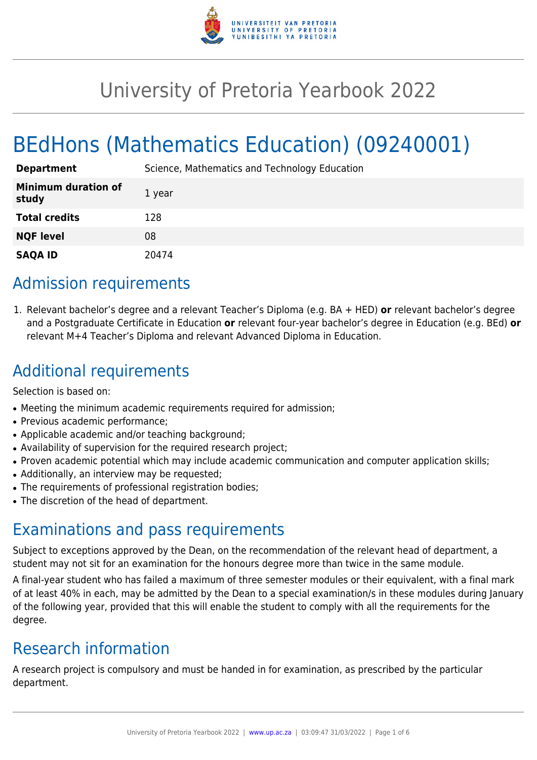

# University of Pretoria Yearbook 2022

# BEdHons (Mathematics Education) (09240001)

| <b>Department</b>                   | Science, Mathematics and Technology Education |
|-------------------------------------|-----------------------------------------------|
| <b>Minimum duration of</b><br>study | 1 year                                        |
| <b>Total credits</b>                | 128                                           |
| <b>NQF level</b>                    | 08                                            |
| <b>SAQA ID</b>                      | 20474                                         |

### Admission requirements

1. Relevant bachelor's degree and a relevant Teacher's Diploma (e.g. BA + HED) **or** relevant bachelor's degree and a Postgraduate Certificate in Education **or** relevant four-year bachelor's degree in Education (e.g. BEd) **or** relevant M+4 Teacher's Diploma and relevant Advanced Diploma in Education.

## Additional requirements

Selection is based on:

- Meeting the minimum academic requirements required for admission;
- Previous academic performance;
- Applicable academic and/or teaching background;
- Availability of supervision for the required research project;
- Proven academic potential which may include academic communication and computer application skills;
- Additionally, an interview may be requested;
- The requirements of professional registration bodies;
- The discretion of the head of department.

### Examinations and pass requirements

Subject to exceptions approved by the Dean, on the recommendation of the relevant head of department, a student may not sit for an examination for the honours degree more than twice in the same module.

A final-year student who has failed a maximum of three semester modules or their equivalent, with a final mark of at least 40% in each, may be admitted by the Dean to a special examination/s in these modules during January of the following year, provided that this will enable the student to comply with all the requirements for the degree.

## Research information

A research project is compulsory and must be handed in for examination, as prescribed by the particular department.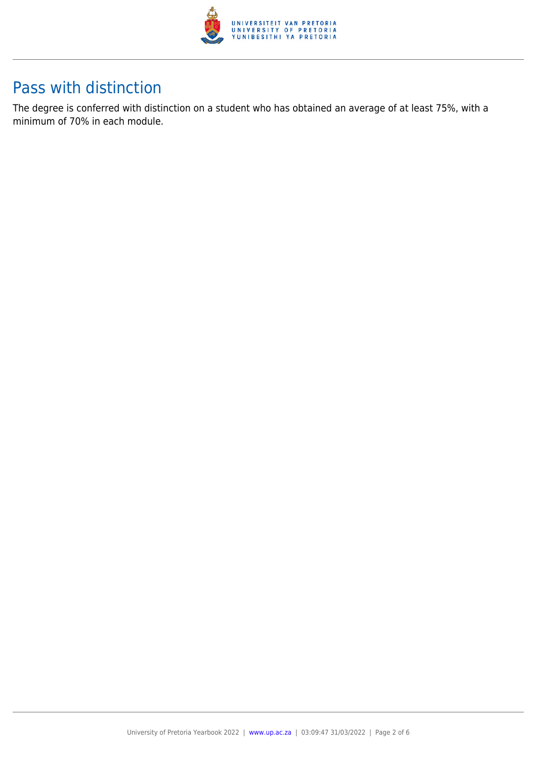

### Pass with distinction

The degree is conferred with distinction on a student who has obtained an average of at least 75%, with a minimum of 70% in each module.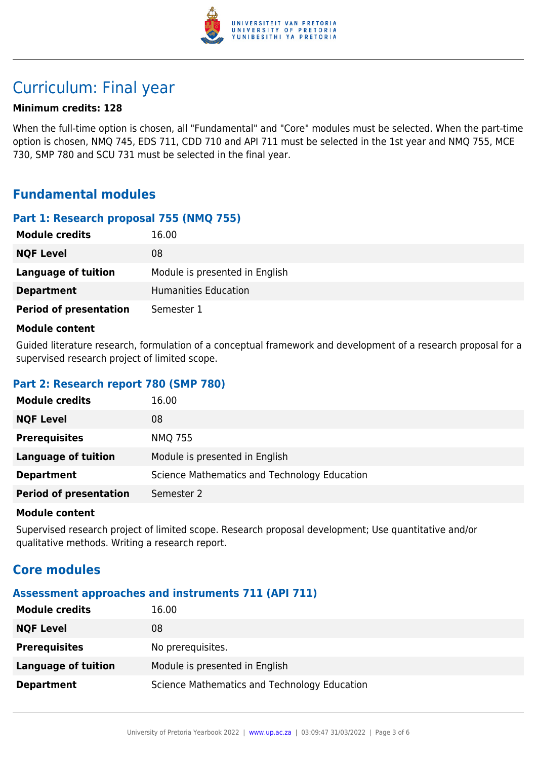

### Curriculum: Final year

#### **Minimum credits: 128**

When the full-time option is chosen, all "Fundamental" and "Core" modules must be selected. When the part-time option is chosen, NMQ 745, EDS 711, CDD 710 and API 711 must be selected in the 1st year and NMQ 755, MCE 730, SMP 780 and SCU 731 must be selected in the final year.

### **Fundamental modules**

#### **Part 1: Research proposal 755 (NMQ 755)**

| <b>Module credits</b>         | 16.00                          |
|-------------------------------|--------------------------------|
| <b>NQF Level</b>              | 08                             |
| <b>Language of tuition</b>    | Module is presented in English |
| <b>Department</b>             | Humanities Education           |
| <b>Period of presentation</b> | Semester 1                     |

#### **Module content**

Guided literature research, formulation of a conceptual framework and development of a research proposal for a supervised research project of limited scope.

#### **Part 2: Research report 780 (SMP 780)**

| <b>Module credits</b>         | 16.00                                        |
|-------------------------------|----------------------------------------------|
| <b>NQF Level</b>              | 08                                           |
| <b>Prerequisites</b>          | <b>NMQ 755</b>                               |
| <b>Language of tuition</b>    | Module is presented in English               |
| <b>Department</b>             | Science Mathematics and Technology Education |
| <b>Period of presentation</b> | Semester 2                                   |

#### **Module content**

Supervised research project of limited scope. Research proposal development; Use quantitative and/or qualitative methods. Writing a research report.

### **Core modules**

#### **Assessment approaches and instruments 711 (API 711)**

| <b>Module credits</b> | 16.00                                        |
|-----------------------|----------------------------------------------|
| <b>NQF Level</b>      | 08                                           |
| <b>Prerequisites</b>  | No prerequisites.                            |
| Language of tuition   | Module is presented in English               |
| <b>Department</b>     | Science Mathematics and Technology Education |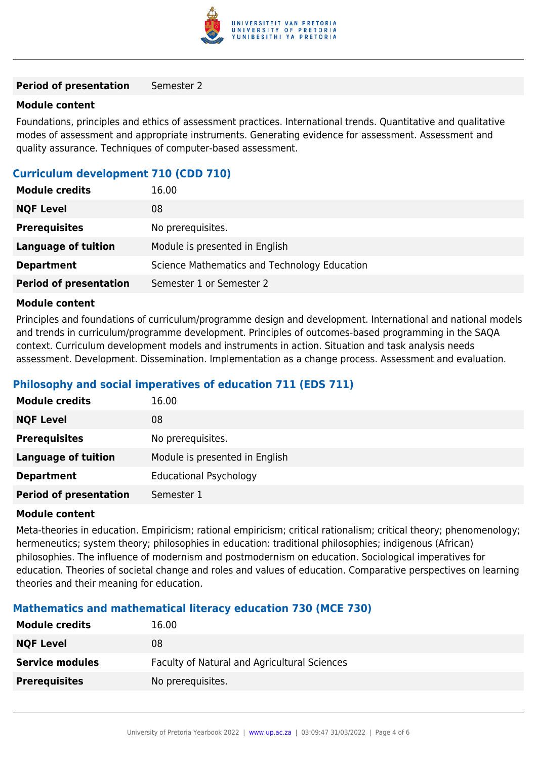

#### **Period of presentation** Semester 2

#### **Module content**

Foundations, principles and ethics of assessment practices. International trends. Quantitative and qualitative modes of assessment and appropriate instruments. Generating evidence for assessment. Assessment and quality assurance. Techniques of computer-based assessment.

#### **Curriculum development 710 (CDD 710)**

| <b>Module credits</b>         | 16.00                                        |
|-------------------------------|----------------------------------------------|
| <b>NQF Level</b>              | 08                                           |
| <b>Prerequisites</b>          | No prerequisites.                            |
| Language of tuition           | Module is presented in English               |
| <b>Department</b>             | Science Mathematics and Technology Education |
| <b>Period of presentation</b> | Semester 1 or Semester 2                     |

#### **Module content**

Principles and foundations of curriculum/programme design and development. International and national models and trends in curriculum/programme development. Principles of outcomes-based programming in the SAQA context. Curriculum development models and instruments in action. Situation and task analysis needs assessment. Development. Dissemination. Implementation as a change process. Assessment and evaluation.

#### **Philosophy and social imperatives of education 711 (EDS 711)**

| <b>Module credits</b>         | 16.00                          |
|-------------------------------|--------------------------------|
| <b>NQF Level</b>              | 08                             |
| <b>Prerequisites</b>          | No prerequisites.              |
| <b>Language of tuition</b>    | Module is presented in English |
| <b>Department</b>             | <b>Educational Psychology</b>  |
| <b>Period of presentation</b> | Semester 1                     |

#### **Module content**

Meta-theories in education. Empiricism; rational empiricism; critical rationalism; critical theory; phenomenology; hermeneutics; system theory; philosophies in education: traditional philosophies; indigenous (African) philosophies. The influence of modernism and postmodernism on education. Sociological imperatives for education. Theories of societal change and roles and values of education. Comparative perspectives on learning theories and their meaning for education.

#### **Mathematics and mathematical literacy education 730 (MCE 730)**

| <b>Module credits</b>  | 16.00                                        |
|------------------------|----------------------------------------------|
| <b>NQF Level</b>       | 08                                           |
| <b>Service modules</b> | Faculty of Natural and Agricultural Sciences |
| <b>Prerequisites</b>   | No prerequisites.                            |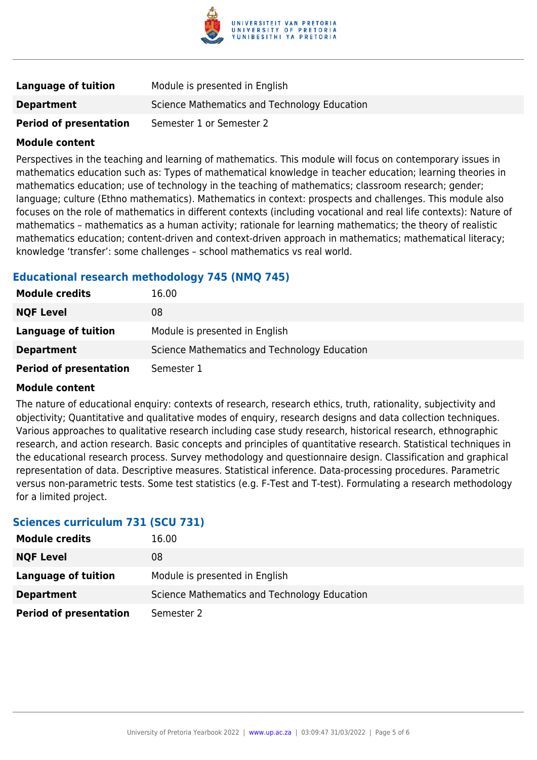

| Language of tuition           | Module is presented in English               |
|-------------------------------|----------------------------------------------|
| <b>Department</b>             | Science Mathematics and Technology Education |
| <b>Period of presentation</b> | Semester 1 or Semester 2                     |

#### **Module content**

Perspectives in the teaching and learning of mathematics. This module will focus on contemporary issues in mathematics education such as: Types of mathematical knowledge in teacher education; learning theories in mathematics education; use of technology in the teaching of mathematics; classroom research; gender; language; culture (Ethno mathematics). Mathematics in context: prospects and challenges. This module also focuses on the role of mathematics in different contexts (including vocational and real life contexts): Nature of mathematics – mathematics as a human activity; rationale for learning mathematics; the theory of realistic mathematics education; content-driven and context-driven approach in mathematics; mathematical literacy; knowledge 'transfer': some challenges – school mathematics vs real world.

#### **Educational research methodology 745 (NMQ 745)**

| <b>Module credits</b>         | 16.00                                        |
|-------------------------------|----------------------------------------------|
| <b>NQF Level</b>              | 08                                           |
| Language of tuition           | Module is presented in English               |
| <b>Department</b>             | Science Mathematics and Technology Education |
| <b>Period of presentation</b> | Semester 1                                   |

#### **Module content**

The nature of educational enquiry: contexts of research, research ethics, truth, rationality, subjectivity and objectivity; Quantitative and qualitative modes of enquiry, research designs and data collection techniques. Various approaches to qualitative research including case study research, historical research, ethnographic research, and action research. Basic concepts and principles of quantitative research. Statistical techniques in the educational research process. Survey methodology and questionnaire design. Classification and graphical representation of data. Descriptive measures. Statistical inference. Data-processing procedures. Parametric versus non-parametric tests. Some test statistics (e.g. F-Test and T-test). Formulating a research methodology for a limited project.

#### **Sciences curriculum 731 (SCU 731)**

| <b>Module credits</b>         | 16.00                                        |
|-------------------------------|----------------------------------------------|
| <b>NQF Level</b>              | 08                                           |
| Language of tuition           | Module is presented in English               |
| <b>Department</b>             | Science Mathematics and Technology Education |
| <b>Period of presentation</b> | Semester 2                                   |